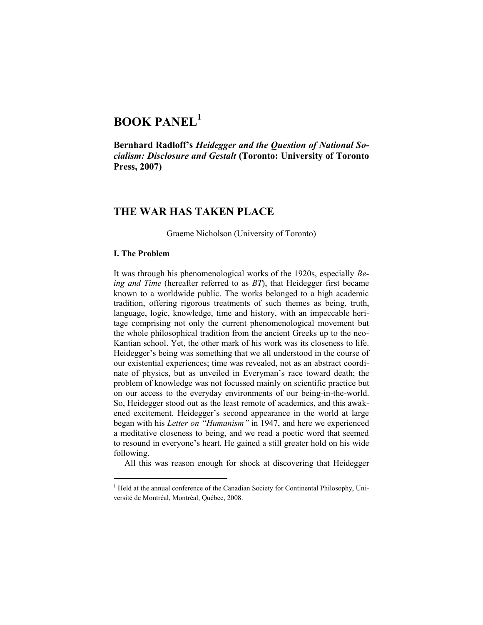# **BOOK PANEL<sup>1</sup>**

**Bernhard Radloff's** *Heidegger and the Question of National Socialism: Disclosure and Gestalt* **(Toronto: University of Toronto Press, 2007)**

## **THE WAR HAS TAKEN PLACE**

Graeme Nicholson (University of Toronto)

#### **I. The Problem**

 $\overline{a}$ 

It was through his phenomenological works of the 1920s, especially *Being and Time* (hereafter referred to as *BT*), that Heidegger first became known to a worldwide public. The works belonged to a high academic tradition, offering rigorous treatments of such themes as being, truth, language, logic, knowledge, time and history, with an impeccable heritage comprising not only the current phenomenological movement but the whole philosophical tradition from the ancient Greeks up to the neo-Kantian school. Yet, the other mark of his work was its closeness to life. Heidegger's being was something that we all understood in the course of our existential experiences; time was revealed, not as an abstract coordinate of physics, but as unveiled in Everyman's race toward death; the problem of knowledge was not focussed mainly on scientific practice but on our access to the everyday environments of our being-in-the-world. So, Heidegger stood out as the least remote of academics, and this awakened excitement. Heidegger's second appearance in the world at large began with his *Letter on "Humanism"* in 1947, and here we experienced a meditative closeness to being, and we read a poetic word that seemed to resound in everyone's heart. He gained a still greater hold on his wide following.

All this was reason enough for shock at discovering that Heidegger

 $<sup>1</sup>$  Held at the annual conference of the Canadian Society for Continental Philosophy, Uni-</sup> versité de Montréal, Montréal, Québec, 2008.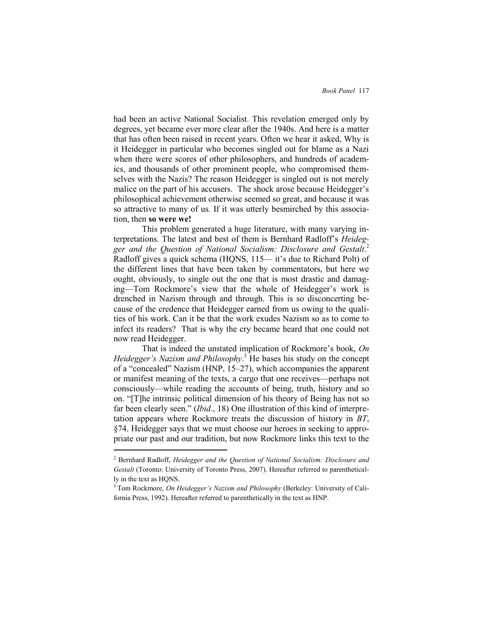had been an active National Socialist. This revelation emerged only by degrees, yet became ever more clear after the 1940s. And here is a matter that has often been raised in recent years. Often we hear it asked, Why is it Heidegger in particular who becomes singled out for blame as a Nazi when there were scores of other philosophers, and hundreds of academics, and thousands of other prominent people, who compromised themselves with the Nazis? The reason Heidegger is singled out is not merely malice on the part of his accusers. The shock arose because Heidegger's philosophical achievement otherwise seemed so great, and because it was so attractive to many of us. If it was utterly besmirched by this association, then **so were we!**

This problem generated a huge literature, with many varying interpretations. The latest and best of them is Bernhard Radloff's *Heidegger and the Question of National Socialism: Disclosure and Gestalt*. 2 Radloff gives a quick schema (HQNS, 115— it's due to Richard Polt) of the different lines that have been taken by commentators, but here we ought, obviously, to single out the one that is most drastic and damaging—Tom Rockmore's view that the whole of Heidegger's work is drenched in Nazism through and through. This is so disconcerting because of the credence that Heidegger earned from us owing to the qualities of his work. Can it be that the work exudes Nazism so as to come to infect its readers? That is why the cry became heard that one could not now read Heidegger.

That is indeed the unstated implication of Rockmore's book, *On Heidegger's Nazism and Philosophy*. <sup>3</sup> He bases his study on the concept of a "concealed" Nazism (HNP, 15–27), which accompanies the apparent or manifest meaning of the texts, a cargo that one receives—perhaps not consciously—while reading the accounts of being, truth, history and so on. "[T]he intrinsic political dimension of his theory of Being has not so far been clearly seen." *(Ibid.*, 18) One illustration of this kind of interpretation appears where Rockmore treats the discussion of history in *BT*, §74. Heidegger says that we must choose our heroes in seeking to appropriate our past and our tradition, but now Rockmore links this text to the

<sup>2</sup> Bernhard Radloff, *Heidegger and the Question of National Socialism: Disclosure and Gestalt* (Toronto: University of Toronto Press, 2007). Hereafter referred to parenthetically in the text as HQNS.

<sup>3</sup> Tom Rockmore, *On Heidegger's Nazism and Philosophy* (Berkeley: University of California Press, 1992). Hereafter referred to parenthetically in the text as HNP.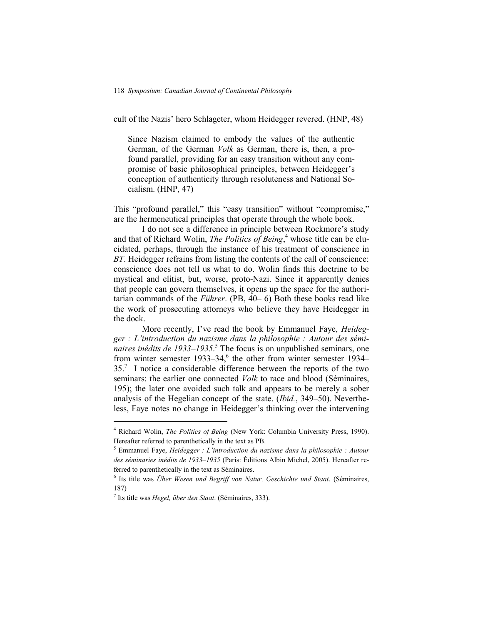cult of the Nazis' hero Schlageter, whom Heidegger revered. (HNP, 48)

Since Nazism claimed to embody the values of the authentic German, of the German *Volk* as German, there is, then, a profound parallel, providing for an easy transition without any compromise of basic philosophical principles, between Heidegger's conception of authenticity through resoluteness and National Socialism. (HNP, 47)

This "profound parallel," this "easy transition" without "compromise," are the hermeneutical principles that operate through the whole book.

I do not see a difference in principle between Rockmore's study and that of Richard Wolin, *The Politics of Being*, <sup>4</sup> whose title can be elucidated, perhaps, through the instance of his treatment of conscience in *BT*. Heidegger refrains from listing the contents of the call of conscience: conscience does not tell us what to do. Wolin finds this doctrine to be mystical and elitist, but, worse, proto-Nazi. Since it apparently denies that people can govern themselves, it opens up the space for the authoritarian commands of the *Führer*. (PB, 40– 6) Both these books read like the work of prosecuting attorneys who believe they have Heidegger in the dock.

More recently, I've read the book by Emmanuel Faye, *Heidegger : L'introduction du nazisme dans la philosophie : Autour des séminaires inédits de 1933–1935*. <sup>5</sup> The focus is on unpublished seminars, one from winter semester 1933–34, 6 the other from winter semester 1934–  $35<sup>7</sup>$  I notice a considerable difference between the reports of the two seminars: the earlier one connected *Volk* to race and blood (Séminaires, 195); the later one avoided such talk and appears to be merely a sober analysis of the Hegelian concept of the state. (*Ibid.*, 349–50). Nevertheless, Faye notes no change in Heidegger's thinking over the intervening

<sup>4</sup> Richard Wolin, *The Politics of Being* (New York: Columbia University Press, 1990). Hereafter referred to parenthetically in the text as PB.

<sup>5</sup> Emmanuel Faye, *Heidegger : L'introduction du nazisme dans la philosophie : Autour des séminaries inédits de 1933–1935* (Paris: Éditions Albin Michel, 2005). Hereafter referred to parenthetically in the text as Séminaires.

<sup>6</sup> Its title was *Über Wesen und Begriff von Natur, Geschichte und Staat*. (Séminaires, 187)

<sup>7</sup> Its title was *Hegel, über den Staat*. (Séminaires, 333).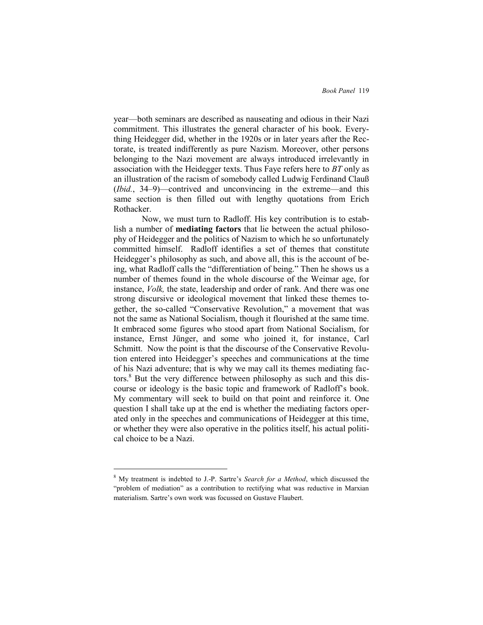year—both seminars are described as nauseating and odious in their Nazi commitment. This illustrates the general character of his book. Everything Heidegger did, whether in the 1920s or in later years after the Rectorate, is treated indifferently as pure Nazism. Moreover, other persons belonging to the Nazi movement are always introduced irrelevantly in association with the Heidegger texts. Thus Faye refers here to *BT* only as an illustration of the racism of somebody called Ludwig Ferdinand Clauß (*Ibid.*, 34–9)—contrived and unconvincing in the extreme—and this same section is then filled out with lengthy quotations from Erich Rothacker.

Now, we must turn to Radloff. His key contribution is to establish a number of **mediating factors** that lie between the actual philosophy of Heidegger and the politics of Nazism to which he so unfortunately committed himself. Radloff identifies a set of themes that constitute Heidegger's philosophy as such, and above all, this is the account of being, what Radloff calls the "differentiation of being." Then he shows us a number of themes found in the whole discourse of the Weimar age, for instance, *Volk,* the state, leadership and order of rank. And there was one strong discursive or ideological movement that linked these themes together, the so-called "Conservative Revolution," a movement that was not the same as National Socialism, though it flourished at the same time. It embraced some figures who stood apart from National Socialism, for instance, Ernst Jünger, and some who joined it, for instance, Carl Schmitt. Now the point is that the discourse of the Conservative Revolution entered into Heidegger's speeches and communications at the time of his Nazi adventure; that is why we may call its themes mediating factors.<sup>8</sup> But the very difference between philosophy as such and this discourse or ideology is the basic topic and framework of Radloff's book. My commentary will seek to build on that point and reinforce it. One question I shall take up at the end is whether the mediating factors operated only in the speeches and communications of Heidegger at this time, or whether they were also operative in the politics itself, his actual political choice to be a Nazi.

<sup>8</sup> My treatment is indebted to J.-P. Sartre's *Search for a Method*, which discussed the "problem of mediation" as a contribution to rectifying what was reductive in Marxian materialism. Sartre's own work was focussed on Gustave Flaubert.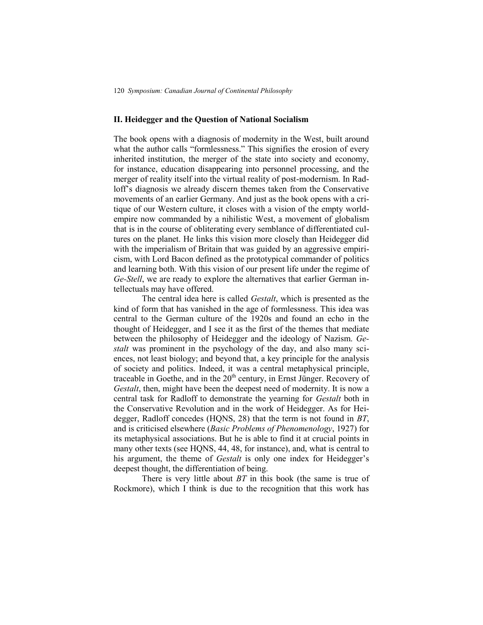#### **II. Heidegger and the Question of National Socialism**

The book opens with a diagnosis of modernity in the West, built around what the author calls "formlessness." This signifies the erosion of every inherited institution, the merger of the state into society and economy, for instance, education disappearing into personnel processing, and the merger of reality itself into the virtual reality of post-modernism. In Radloff's diagnosis we already discern themes taken from the Conservative movements of an earlier Germany. And just as the book opens with a critique of our Western culture, it closes with a vision of the empty worldempire now commanded by a nihilistic West, a movement of globalism that is in the course of obliterating every semblance of differentiated cultures on the planet. He links this vision more closely than Heidegger did with the imperialism of Britain that was guided by an aggressive empiricism, with Lord Bacon defined as the prototypical commander of politics and learning both. With this vision of our present life under the regime of *Ge-Stell*, we are ready to explore the alternatives that earlier German intellectuals may have offered.

The central idea here is called *Gestalt*, which is presented as the kind of form that has vanished in the age of formlessness. This idea was central to the German culture of the 1920s and found an echo in the thought of Heidegger, and I see it as the first of the themes that mediate between the philosophy of Heidegger and the ideology of Nazism. *Gestalt* was prominent in the psychology of the day, and also many sciences, not least biology; and beyond that, a key principle for the analysis of society and politics. Indeed, it was a central metaphysical principle, traceable in Goethe, and in the  $20<sup>th</sup>$  century, in Ernst Jünger. Recovery of *Gestalt*, then, might have been the deepest need of modernity. It is now a central task for Radloff to demonstrate the yearning for *Gestalt* both in the Conservative Revolution and in the work of Heidegger. As for Heidegger, Radloff concedes (HQNS, 28) that the term is not found in *BT*, and is criticised elsewhere (*Basic Problems of Phenomenology*, 1927) for its metaphysical associations. But he is able to find it at crucial points in many other texts (see HQNS, 44, 48, for instance), and, what is central to his argument, the theme of *Gestalt* is only one index for Heidegger's deepest thought, the differentiation of being.

There is very little about *BT* in this book (the same is true of Rockmore), which I think is due to the recognition that this work has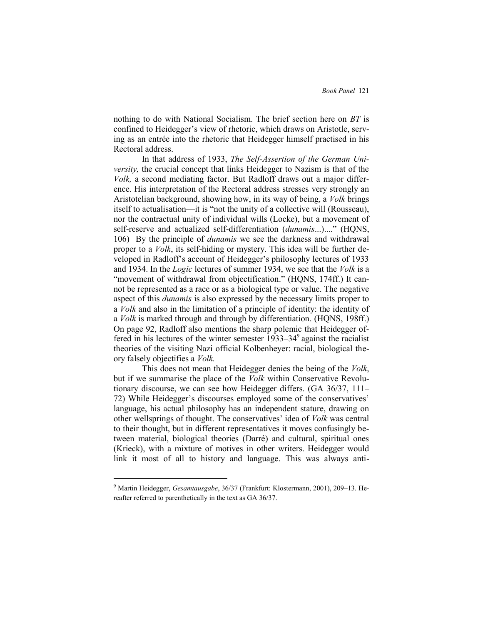nothing to do with National Socialism. The brief section here on *BT* is confined to Heidegger's view of rhetoric, which draws on Aristotle, serving as an entrée into the rhetoric that Heidegger himself practised in his Rectoral address.

In that address of 1933, *The Self-Assertion of the German University,* the crucial concept that links Heidegger to Nazism is that of the *Volk,* a second mediating factor. But Radloff draws out a major difference. His interpretation of the Rectoral address stresses very strongly an Aristotelian background, showing how, in its way of being, a *Volk* brings itself to actualisation—it is "not the unity of a collective will (Rousseau), nor the contractual unity of individual wills (Locke), but a movement of self-reserve and actualized self-differentiation (*dunamis...*)...." (HQNS, 106) By the principle of *dunamis* we see the darkness and withdrawal proper to a *Volk*, its self-hiding or mystery. This idea will be further developed in Radloff's account of Heidegger's philosophy lectures of 1933 and 1934. In the *Logic* lectures of summer 1934, we see that the *Volk* is a "movement of withdrawal from objectification." (HQNS, 174ff.) It cannot be represented as a race or as a biological type or value. The negative aspect of this *dunamis* is also expressed by the necessary limits proper to a *Volk* and also in the limitation of a principle of identity: the identity of a *Volk* is marked through and through by differentiation. (HQNS, 198ff.) On page 92, Radloff also mentions the sharp polemic that Heidegger offered in his lectures of the winter semester 1933–34<sup>9</sup> against the racialist theories of the visiting Nazi official Kolbenheyer: racial, biological theory falsely objectifies a *Volk.*

This does not mean that Heidegger denies the being of the *Volk*, but if we summarise the place of the *Volk* within Conservative Revolutionary discourse, we can see how Heidegger differs. (GA 36/37, 111– 72) While Heidegger's discourses employed some of the conservatives' language, his actual philosophy has an independent stature, drawing on other wellsprings of thought. The conservatives' idea of *Volk* was central to their thought, but in different representatives it moves confusingly between material, biological theories (Darré) and cultural, spiritual ones (Krieck), with a mixture of motives in other writers. Heidegger would link it most of all to history and language. This was always anti-

<sup>9</sup> Martin Heidegger, *Gesamtausgabe*, 36/37 (Frankfurt: Klostermann, 2001), 209–13. Hereafter referred to parenthetically in the text as GA 36/37.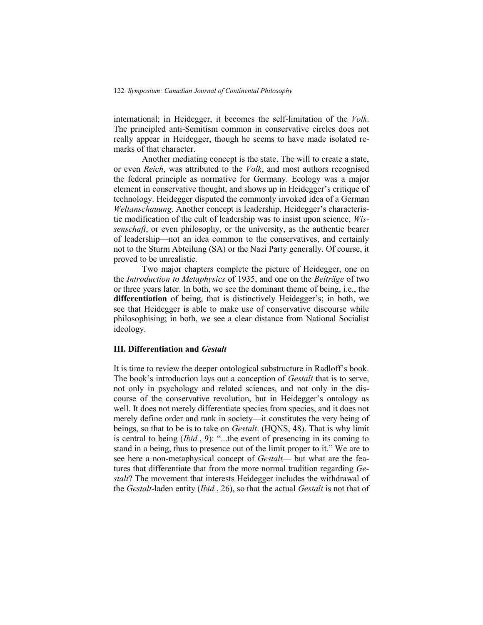international; in Heidegger, it becomes the self-limitation of the *Volk*. The principled anti-Semitism common in conservative circles does not really appear in Heidegger, though he seems to have made isolated remarks of that character.

Another mediating concept is the state. The will to create a state, or even *Reich*, was attributed to the *Volk*, and most authors recognised the federal principle as normative for Germany. Ecology was a major element in conservative thought, and shows up in Heidegger's critique of technology. Heidegger disputed the commonly invoked idea of a German *Weltanschauung*. Another concept is leadership. Heidegger's characteristic modification of the cult of leadership was to insist upon science, *Wissenschaft*, or even philosophy, or the university, as the authentic bearer of leadership—not an idea common to the conservatives, and certainly not to the Sturm Abteilung (SA) or the Nazi Party generally. Of course, it proved to be unrealistic.

Two major chapters complete the picture of Heidegger, one on the *Introduction to Metaphysics* of 1935, and one on the *Beiträge* of two or three years later. In both, we see the dominant theme of being, i.e., the **differentiation** of being, that is distinctively Heidegger's; in both, we see that Heidegger is able to make use of conservative discourse while philosophising; in both, we see a clear distance from National Socialist ideology.

#### **III. Differentiation and** *Gestalt*

It is time to review the deeper ontological substructure in Radloff's book. The book's introduction lays out a conception of *Gestalt* that is to serve, not only in psychology and related sciences, and not only in the discourse of the conservative revolution, but in Heidegger's ontology as well. It does not merely differentiate species from species, and it does not merely define order and rank in society—it constitutes the very being of beings, so that to be is to take on *Gestalt*. (HQNS, 48). That is why limit is central to being (*Ibid.*, 9): "...the event of presencing in its coming to stand in a being, thus to presence out of the limit proper to it." We are to see here a non-metaphysical concept of *Gestalt*— but what are the features that differentiate that from the more normal tradition regarding *Gestalt*? The movement that interests Heidegger includes the withdrawal of the *Gestalt*-laden entity (*Ibid.*, 26), so that the actual *Gestalt* is not that of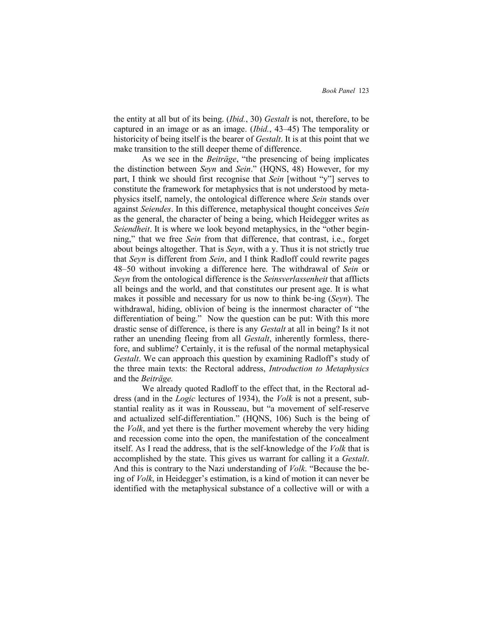the entity at all but of its being. (*Ibid.*, 30) *Gestalt* is not, therefore, to be captured in an image or as an image. (*Ibid.*, 43–45) The temporality or historicity of being itself is the bearer of *Gestalt*. It is at this point that we make transition to the still deeper theme of difference.

As we see in the *Beiträge*, "the presencing of being implicates the distinction between *Seyn* and *Sein*." (HQNS, 48) However, for my part, I think we should first recognise that *Sein* [without "y"] serves to constitute the framework for metaphysics that is not understood by metaphysics itself, namely, the ontological difference where *Sein* stands over against *Seiendes*. In this difference, metaphysical thought conceives *Sein* as the general, the character of being a being, which Heidegger writes as *Seiendheit*. It is where we look beyond metaphysics, in the "other beginning," that we free *Sein* from that difference, that contrast, i.e., forget about beings altogether. That is *Seyn*, with a y. Thus it is not strictly true that *Seyn* is different from *Sein*, and I think Radloff could rewrite pages 48–50 without invoking a difference here. The withdrawal of *Sein* or *Seyn* from the ontological difference is the *Seinsverlassenheit* that afflicts all beings and the world, and that constitutes our present age. It is what makes it possible and necessary for us now to think be-ing (*Seyn*). The withdrawal, hiding, oblivion of being is the innermost character of "the differentiation of being." Now the question can be put: With this more drastic sense of difference, is there is any *Gestalt* at all in being? Is it not rather an unending fleeing from all *Gestalt*, inherently formless, therefore, and sublime? Certainly, it is the refusal of the normal metaphysical *Gestalt*. We can approach this question by examining Radloff's study of the three main texts: the Rectoral address, *Introduction to Metaphysics* and the *Beiträge.*

We already quoted Radloff to the effect that, in the Rectoral address (and in the *Logic* lectures of 1934), the *Volk* is not a present, substantial reality as it was in Rousseau, but "a movement of self-reserve and actualized self-differentiation." (HQNS, 106) Such is the being of the *Volk*, and yet there is the further movement whereby the very hiding and recession come into the open, the manifestation of the concealment itself. As I read the address, that is the self-knowledge of the *Volk* that is accomplished by the state. This gives us warrant for calling it a *Gestalt*. And this is contrary to the Nazi understanding of *Volk*. "Because the being of *Volk*, in Heidegger's estimation, is a kind of motion it can never be identified with the metaphysical substance of a collective will or with a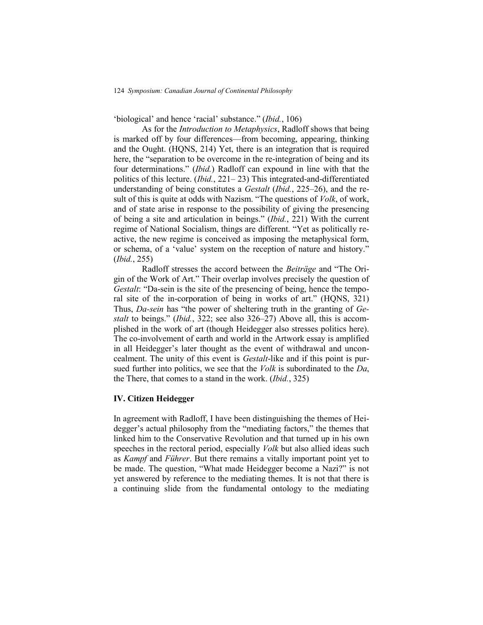124 *Symposium: Canadian Journal of Continental Philosophy*

‗biological' and hence ‗racial' substance.‖ (*Ibid.*, 106)

As for the *Introduction to Metaphysics*, Radloff shows that being is marked off by four differences—from becoming, appearing, thinking and the Ought. (HQNS, 214) Yet, there is an integration that is required here, the "separation to be overcome in the re-integration of being and its four determinations." (*Ibid.*) Radloff can expound in line with that the politics of this lecture. (*Ibid.*, 221– 23) This integrated-and-differentiated understanding of being constitutes a *Gestalt* (*Ibid.*, 225–26), and the result of this is quite at odds with Nazism. "The questions of *Volk*, of work, and of state arise in response to the possibility of giving the presencing of being a site and articulation in beings.‖ (*Ibid.*, 221) With the current regime of National Socialism, things are different. "Yet as politically reactive, the new regime is conceived as imposing the metaphysical form, or schema, of a 'value' system on the reception of nature and history." (*Ibid.*, 255)

Radloff stresses the accord between the *Beiträge* and "The Origin of the Work of Art." Their overlap involves precisely the question of *Gestalt*: "Da-sein is the site of the presencing of being, hence the temporal site of the in-corporation of being in works of art." (HQNS, 321) Thus, *Da-sein* has "the power of sheltering truth in the granting of *Gestalt* to beings." *(Ibid.*, 322; see also 326–27) Above all, this is accomplished in the work of art (though Heidegger also stresses politics here). The co-involvement of earth and world in the Artwork essay is amplified in all Heidegger's later thought as the event of withdrawal and unconcealment. The unity of this event is *Gestalt*-like and if this point is pursued further into politics, we see that the *Volk* is subordinated to the *Da*, the There, that comes to a stand in the work. (*Ibid.*, 325)

### **IV. Citizen Heidegger**

In agreement with Radloff, I have been distinguishing the themes of Heidegger's actual philosophy from the "mediating factors," the themes that linked him to the Conservative Revolution and that turned up in his own speeches in the rectoral period, especially *Volk* but also allied ideas such as *Kampf* and *Führer*. But there remains a vitally important point yet to be made. The question, "What made Heidegger become a Nazi?" is not yet answered by reference to the mediating themes. It is not that there is a continuing slide from the fundamental ontology to the mediating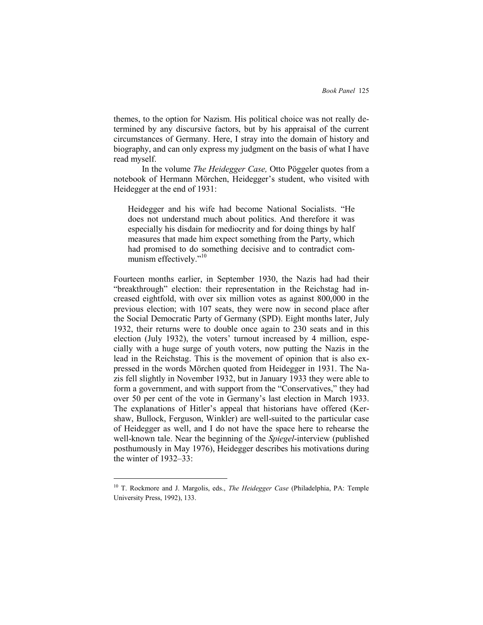themes, to the option for Nazism. His political choice was not really determined by any discursive factors, but by his appraisal of the current circumstances of Germany. Here, I stray into the domain of history and biography, and can only express my judgment on the basis of what I have read myself.

In the volume *The Heidegger Case,* Otto Pöggeler quotes from a notebook of Hermann Mörchen, Heidegger's student, who visited with Heidegger at the end of 1931:

Heidegger and his wife had become National Socialists. "He does not understand much about politics. And therefore it was especially his disdain for mediocrity and for doing things by half measures that made him expect something from the Party, which had promised to do something decisive and to contradict communism effectively."<sup>10</sup>

Fourteen months earlier, in September 1930, the Nazis had had their "breakthrough" election: their representation in the Reichstag had increased eightfold, with over six million votes as against 800,000 in the previous election; with 107 seats, they were now in second place after the Social Democratic Party of Germany (SPD). Eight months later, July 1932, their returns were to double once again to 230 seats and in this election (July 1932), the voters' turnout increased by 4 million, especially with a huge surge of youth voters, now putting the Nazis in the lead in the Reichstag. This is the movement of opinion that is also expressed in the words Mörchen quoted from Heidegger in 1931. The Nazis fell slightly in November 1932, but in January 1933 they were able to form a government, and with support from the "Conservatives," they had over 50 per cent of the vote in Germany's last election in March 1933. The explanations of Hitler's appeal that historians have offered (Kershaw, Bullock, Ferguson, Winkler) are well-suited to the particular case of Heidegger as well, and I do not have the space here to rehearse the well-known tale. Near the beginning of the *Spiegel*-interview (published posthumously in May 1976), Heidegger describes his motivations during the winter of 1932–33:

<sup>10</sup> T. Rockmore and J. Margolis, eds., *The Heidegger Case* (Philadelphia, PA: Temple University Press, 1992), 133.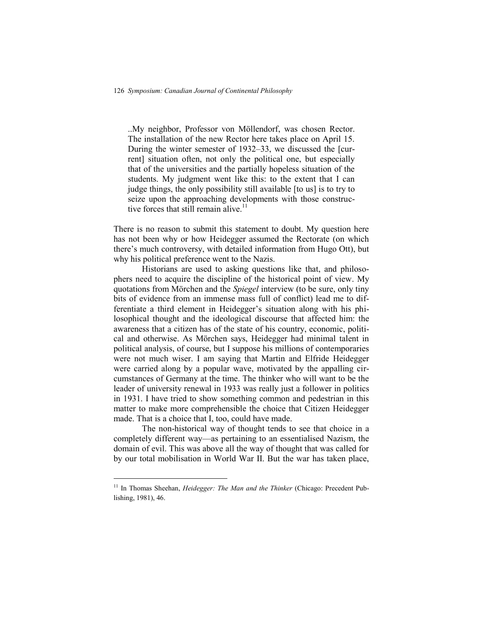..My neighbor, Professor von Möllendorf, was chosen Rector. The installation of the new Rector here takes place on April 15. During the winter semester of 1932–33, we discussed the [current] situation often, not only the political one, but especially that of the universities and the partially hopeless situation of the students. My judgment went like this: to the extent that I can judge things, the only possibility still available [to us] is to try to seize upon the approaching developments with those constructive forces that still remain alive. $11$ 

There is no reason to submit this statement to doubt. My question here has not been why or how Heidegger assumed the Rectorate (on which there's much controversy, with detailed information from Hugo Ott), but why his political preference went to the Nazis.

Historians are used to asking questions like that, and philosophers need to acquire the discipline of the historical point of view. My quotations from Mörchen and the *Spiegel* interview (to be sure, only tiny bits of evidence from an immense mass full of conflict) lead me to differentiate a third element in Heidegger's situation along with his philosophical thought and the ideological discourse that affected him: the awareness that a citizen has of the state of his country, economic, political and otherwise. As Mörchen says, Heidegger had minimal talent in political analysis, of course, but I suppose his millions of contemporaries were not much wiser. I am saying that Martin and Elfride Heidegger were carried along by a popular wave, motivated by the appalling circumstances of Germany at the time. The thinker who will want to be the leader of university renewal in 1933 was really just a follower in politics in 1931. I have tried to show something common and pedestrian in this matter to make more comprehensible the choice that Citizen Heidegger made. That is a choice that I, too, could have made.

The non-historical way of thought tends to see that choice in a completely different way—as pertaining to an essentialised Nazism, the domain of evil. This was above all the way of thought that was called for by our total mobilisation in World War II. But the war has taken place,

<sup>&</sup>lt;sup>11</sup> In Thomas Sheehan, *Heidegger: The Man and the Thinker* (Chicago: Precedent Publishing, 1981), 46.